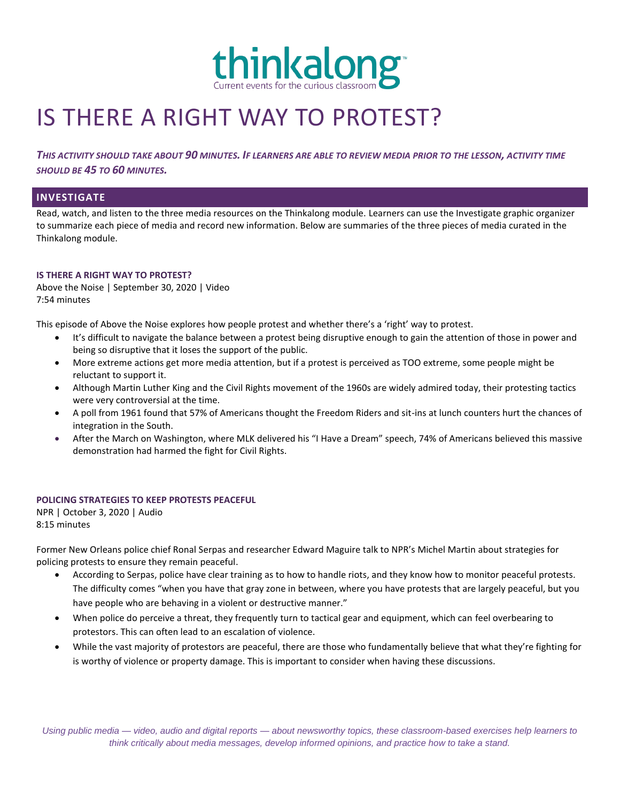

# IS THERE A RIGHT WAY TO PROTEST?

*THIS ACTIVITY SHOULD TAKE ABOUT 90 MINUTES. IF LEARNERS ARE ABLE TO REVIEW MEDIA PRIOR TO THE LESSON, ACTIVITY TIME SHOULD BE 45 TO 60 MINUTES.*

## **INVESTIGATE**

Read, watch, and listen to the three media resources on the Thinkalong module. Learners can use the Investigate graphic organizer to summarize each piece of media and record new information. Below are summaries of the three pieces of media curated in the Thinkalong module.

### **IS THERE A RIGHT WAY TO PROTEST?**

Above the Noise | September 30, 2020 | Video 7:54 minutes

This episode of Above the Noise explores how people protest and whether there's a 'right' way to protest.

- It's difficult to navigate the balance between a protest being disruptive enough to gain the attention of those in power and being so disruptive that it loses the support of the public.
- More extreme actions get more media attention, but if a protest is perceived as TOO extreme, some people might be reluctant to support it.
- Although Martin Luther King and the Civil Rights movement of the 1960s are widely admired today, their protesting tactics were very controversial at the time.
- A poll from 1961 found that 57% of Americans thought the Freedom Riders and sit-ins at lunch counters hurt the chances of integration in the South.
- After the March on Washington, where MLK delivered his "I Have a Dream" speech, 74% of Americans believed this massive demonstration had harmed the fight for Civil Rights.

#### **POLICING STRATEGIES TO KEEP PROTESTS PEACEFUL**

NPR | October 3, 2020 | Audio 8:15 minutes

Former New Orleans police chief Ronal Serpas and researcher Edward Maguire talk to NPR's Michel Martin about strategies for policing protests to ensure they remain peaceful.

- According to Serpas, police have clear training as to how to handle riots, and they know how to monitor peaceful protests. The difficulty comes "when you have that gray zone in between, where you have protests that are largely peaceful, but you have people who are behaving in a violent or destructive manner."
- When police do perceive a threat, they frequently turn to tactical gear and equipment, which can feel overbearing to protestors. This can often lead to an escalation of violence.
- While the vast majority of protestors are peaceful, there are those who fundamentally believe that what they're fighting for is worthy of violence or property damage. This is important to consider when having these discussions.